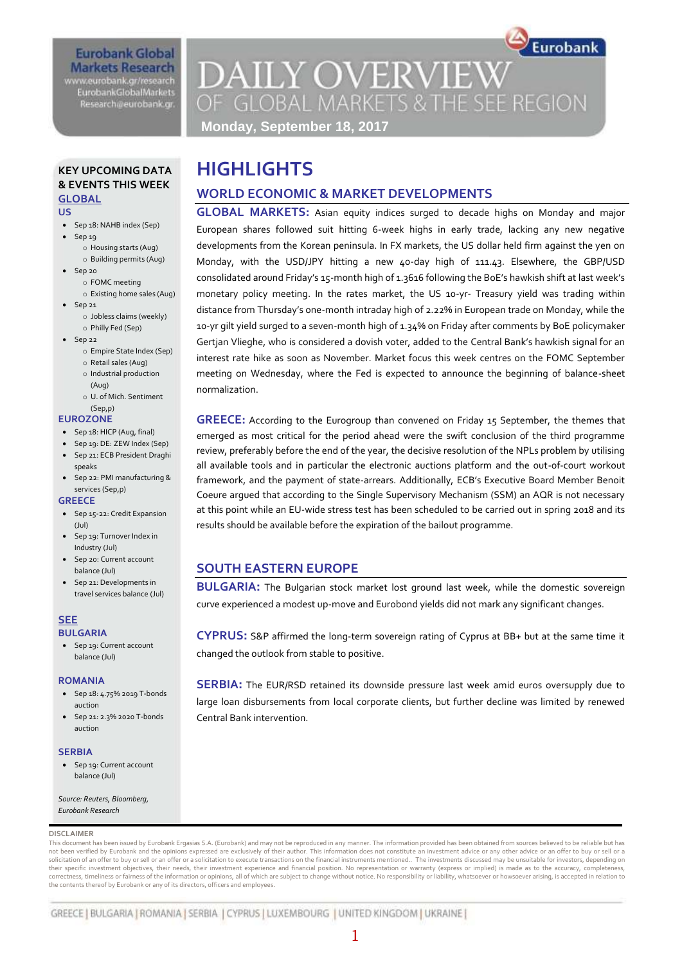## **Eurobank Global Markets Research** www.eurobank.gr/research

**EurobankGlobalMarkets** Research@eurobank.gr

## Eurobank **DAILY OVERVIEW** OF GLOBAL MARKETS & THE SEE REGION **Monday, September 18, 2017**

**HIGHLIGHTS**

#### **KEY UPCOMING DATA & EVENTS THIS WEEK GLOBAL**

#### **US**

- Sep 18: NAHB index (Sep)
	- Sep 19
		- o Housing starts (Aug)
- $-$  Sep 20
	- -
- $\bullet$  Sep 21
	- o Jobless claims (weekly) o Philly Fed (Sep)
- $-$  Sep 22
	- o Empire State Index (Sep)
	- o Retail sales (Aug)
	- o Industrial production
	- (Aug) o U. of Mich. Sentiment (Sep,p)

#### **EUROZONE**

- Sep 18: HICP (Aug, final)
- Sep 19: DE: ZEW Index (Sep)
- Sep 21: ECB President Draghi
- speaks Sep 22: PMI manufacturing &
- services (Sep,p) **GREECE**
- Sep 15-22: Credit Expansion (Jul)
- Sep 19: Turnover Index in Industry (Jul)
- Sep 20: Current account balance (Jul)
- Sep 21: Developments in travel services balance (Jul)

#### **SEE BULGARIA**

• Sep 19: Current account balance (Jul)

#### **ROMANIA**

- Sep 18: 4.75% 2019 T-bonds auction
- Sep 21: 2.3% 2020 T-bonds auction

#### **SERBIA**

• Sep 19: Current account balance (Jul)

*Source: Reuters, Bloomberg, Eurobank Research*

#### **DISCLAIMER**

This document has been issued by Eurobank Ergasias S.A. (Eurobank) and may not be reproduced in any manner. The information provided has been obtained from sources believed to be reliable but has not been verified by Eurobank and the opinions expressed are exclusively of their author. This information does not constitute an investment advice or any other advice or an offer to buy or sell or a solicitation of an offer to buy or sell or an offer or a solicitation to execute transactions on the financial instruments mentioned.. The investments discussed may be unsuitable for investors, depending on<br>their specific correctness, timeliness or fairness of the information or opinions, all of which are subject to change without notice. No responsibility or liability, whatsoever or howsoever arising, is accepted in relation to the contents thereof by Eurobank or any of its directors, officers and employees.

#### GREECE | BULGARIA | ROMANIA | SERBIA | CYPRUS | LUXEMBOURG | UNITED KINGDOM | UKRAINE |

## 1

## **WORLD ECONOMIC & MARKET DEVELOPMENTS**

**GLOBAL MARKETS:** Asian equity indices surged to decade highs on Monday and major European shares followed suit hitting 6-week highs in early trade, lacking any new negative developments from the Korean peninsula. In FX markets, the US dollar held firm against the yen on Monday, with the USD/JPY hitting a new 40-day high of 111.43. Elsewhere, the GBP/USD consolidated around Friday's 15-month high of 1.3616 following the BoE's hawkish shift at last week's monetary policy meeting. In the rates market, the US 10-yr- Treasury yield was trading within distance from Thursday's one-month intraday high of 2.22% in European trade on Monday, while the 10-yr gilt yield surged to a seven-month high of 1.34% on Friday after comments by BoE policymaker Gertjan Vlieghe, who is considered a dovish voter, added to the Central Bank's hawkish signal for an interest rate hike as soon as November. Market focus this week centres on the FOMC September meeting on Wednesday, where the Fed is expected to announce the beginning of balance-sheet normalization.

**GREECE:** According to the Eurogroup than convened on Friday 15 September, the themes that emerged as most critical for the period ahead were the swift conclusion of the third programme review, preferably before the end of the year, the decisive resolution of the NPLs problem by utilising all available tools and in particular the electronic auctions platform and the out-of-court workout framework, and the payment of state-arrears. Additionally, ECB's Executive Board Member Benoit Coeure argued that according to the Single Supervisory Mechanism (SSM) an AQR is not necessary at this point while an EU-wide stress test has been scheduled to be carried out in spring 2018 and its results should be available before the expiration of the bailout programme.

#### **SOUTH EASTERN EUROPE**

**BULGARIA:** The Bulgarian stock market lost ground last week, while the domestic sovereign curve experienced a modest up-move and Eurobond yields did not mark any significant changes.

**CYPRUS:** S&P affirmed the long-term sovereign rating of Cyprus at BB+ but at the same time it changed the outlook from stable to positive.

**SERBIA:** The EUR/RSD retained its downside pressure last week amid euros oversupply due to large loan disbursements from local corporate clients, but further decline was limited by renewed Central Bank intervention.

## o Building permits (Aug) o FOMC meeting o Existing home sales (Aug)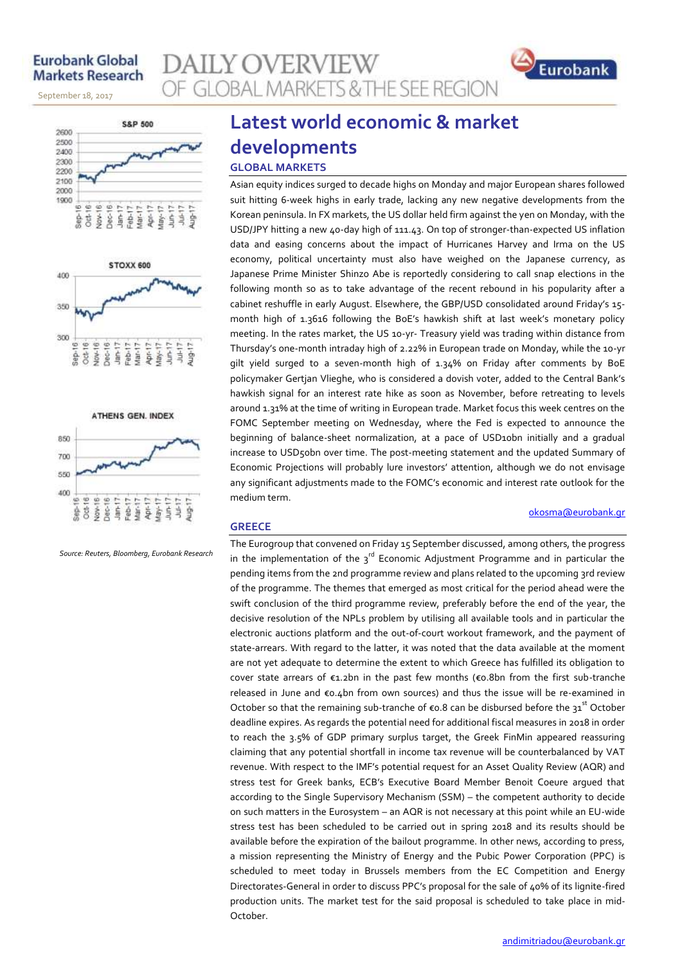## **Eurobank Global Markets Research**

September 18, 2017







*Source: Reuters, Bloomberg, Eurobank Research*

# **Latest world economic & market developments**

**GLOBAL MARKETS & THE SEE REGION** 

#### **GLOBAL MARKETS**

**AILY OVERVIEW** 

Asian equity indices surged to decade highs on Monday and major European shares followed suit hitting 6-week highs in early trade, lacking any new negative developments from the Korean peninsula. In FX markets, the US dollar held firm against the yen on Monday, with the USD/JPY hitting a new 40-day high of 111.43. On top of stronger-than-expected US inflation data and easing concerns about the impact of Hurricanes Harvey and Irma on the US economy, political uncertainty must also have weighed on the Japanese currency, as Japanese Prime Minister Shinzo Abe is reportedly considering to call snap elections in the following month so as to take advantage of the recent rebound in his popularity after a cabinet reshuffle in early August. Elsewhere, the GBP/USD consolidated around Friday's 15 month high of 1.3616 following the BoE's hawkish shift at last week's monetary policy meeting. In the rates market, the US 10-yr- Treasury yield was trading within distance from Thursday's one-month intraday high of 2.22% in European trade on Monday, while the 10-yr gilt yield surged to a seven-month high of 1.34% on Friday after comments by BoE policymaker Gertjan Vlieghe, who is considered a dovish voter, added to the Central Bank's hawkish signal for an interest rate hike as soon as November, before retreating to levels around 1.31% at the time of writing in European trade. Market focus this week centres on the FOMC September meeting on Wednesday, where the Fed is expected to announce the beginning of balance-sheet normalization, at a pace of USD10bn initially and a gradual increase to USD50bn over time. The post-meeting statement and the updated Summary of Economic Projections will probably lure investors' attention, although we do not envisage any significant adjustments made to the FOMC's economic and interest rate outlook for the medium term.

#### [okosma@eurobank.gr](mailto:okosma@eurobank.gr)

Eurobank

#### **GREECE**

The Eurogroup that convened on Friday 15 September discussed, among others, the progress in the implementation of the  $3^{rd}$  Economic Adjustment Programme and in particular the pending items from the 2nd programme review and plans related to the upcoming 3rd review of the programme. The themes that emerged as most critical for the period ahead were the swift conclusion of the third programme review, preferably before the end of the year, the decisive resolution of the NPLs problem by utilising all available tools and in particular the electronic auctions platform and the out-of-court workout framework, and the payment of state-arrears. With regard to the latter, it was noted that the data available at the moment are not yet adequate to determine the extent to which Greece has fulfilled its obligation to cover state arrears of  $\epsilon$ 1.2bn in the past few months ( $\epsilon$ 0.8bn from the first sub-tranche released in June and €0.4bn from own sources) and thus the issue will be re-examined in October so that the remaining sub-tranche of  $\epsilon$ 0.8 can be disbursed before the 31<sup>st</sup> October deadline expires. As regards the potential need for additional fiscal measures in 2018 in order to reach the 3.5% of GDP primary surplus target, the Greek FinMin appeared reassuring claiming that any potential shortfall in income tax revenue will be counterbalanced by VAT revenue. With respect to the IMF's potential request for an Asset Quality Review (AQR) and stress test for Greek banks, ECB's Executive Board Member Benoit Coeure argued that according to the Single Supervisory Mechanism (SSM) – the competent authority to decide on such matters in the Eurosystem – an AQR is not necessary at this point while an EU-wide stress test has been scheduled to be carried out in spring 2018 and its results should be available before the expiration of the bailout programme. In other news, according to press, a mission representing the Ministry of Energy and the Pubic Power Corporation (PPC) is scheduled to meet today in Brussels members from the EC Competition and Energy Directorates-General in order to discuss PPC's proposal for the sale of 40% of its lignite-fired production units. The market test for the said proposal is scheduled to take place in mid-October.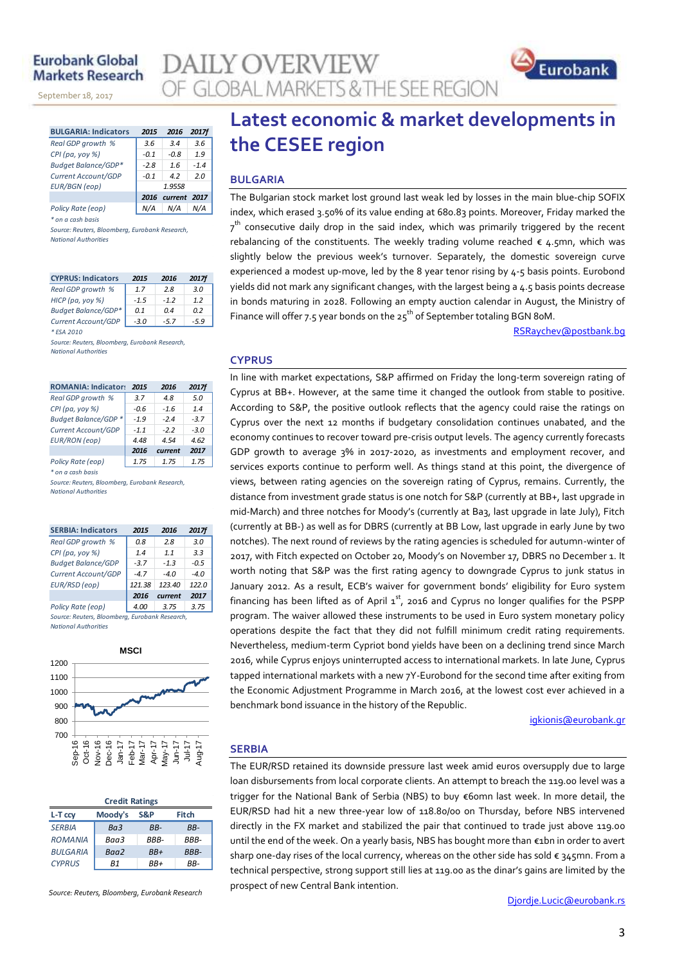### **Eurobank Global Markets Research**

November 14, 2013

September 18, 2017

| <b>BULGARIA: Indicators</b> | 2015   | 2016         | 2017f  |
|-----------------------------|--------|--------------|--------|
| Real GDP growth %           | 3.6    | 3.4          | 3.6    |
| CPI (pa, yoy %)             | $-0.1$ | -0.8         | 1.9    |
| <b>Budget Balance/GDP*</b>  | $-2.8$ | 16           | $-1.4$ |
| Current Account/GDP         | $-0.1$ | 42           | 2.0    |
| <b>EUR/BGN</b> (eop)        |        | 1.9558       |        |
|                             | 2016   | current 2017 |        |
| Policy Rate (eop)           |        |              |        |

*\* on a cash basis*

*Source: Reuters, Bloomberg, Eurobank Research, National Authorities*

| <b>CYPRUS: Indicators</b>  | 2015   | 2016   | 2017f  |
|----------------------------|--------|--------|--------|
| Real GDP growth %          | 17     | 28     | 3.0    |
| HICP (pa, yoy %)           | $-1.5$ | $-12$  | 1.2    |
| <b>Budget Balance/GDP*</b> | n 1    | 04     | 0.2    |
| Current Account/GDP        | $-3.0$ | $-5.7$ | $-5.9$ |
| FSA 20                     |        |        |        |

*Source: Reuters, Bloomberg, Eurobank Research, National Authorities*

| <u>,,,,,,,,,,,,,,,,</u><br>. |  |  |  | $\sim$ |  |
|------------------------------|--|--|--|--------|--|
|                              |  |  |  |        |  |
|                              |  |  |  |        |  |
|                              |  |  |  |        |  |

| <b>ROMANIA: Indicators</b> | 2015   | 2016    | 2017f  |
|----------------------------|--------|---------|--------|
| Real GDP growth %          | 3.7    | 4.8     | 5.0    |
| CPI (pa, yoy %)            | $-0.6$ | $-1.6$  | 1.4    |
| Budget Balance/GDP *       | $-1.9$ | $-24$   | $-3.7$ |
| Current Account/GDP        | $-1.1$ | $-22$   | $-3.0$ |
| <b>EUR/RON</b> (eop)       | 4.48   | 4.54    | 4.62   |
|                            | 2016   | current | 2017   |
| Policy Rate (eop)          | 1.75   | 1.75    | 1.75   |

*\* on a cash basis*

*Source: Reuters, Bloomberg, Eurobank Research, National Authorities*

| <b>SERBIA: Indicators</b> | 2015                                           | 2016    | <b>2017f</b> |  |  |  |  |  |  |  |
|---------------------------|------------------------------------------------|---------|--------------|--|--|--|--|--|--|--|
| Real GDP growth %         | 0.8                                            | 28      | 3.0          |  |  |  |  |  |  |  |
| CPI (pa, yoy %)           | 14                                             | 11      | 3.3          |  |  |  |  |  |  |  |
| <b>Budget Balance/GDP</b> | $-3.7$                                         | $-1.3$  | $-0.5$       |  |  |  |  |  |  |  |
| Current Account/GDP       | $-47$                                          | -40     | -40          |  |  |  |  |  |  |  |
| EUR/RSD (eop)             | 121.38                                         | 123.40  | 122.0        |  |  |  |  |  |  |  |
|                           | 2016                                           | current | 2017         |  |  |  |  |  |  |  |
| Policy Rate (eop)         | 4.00                                           | 3.75    | 3.75         |  |  |  |  |  |  |  |
|                           | Source: Reuters, Bloomberg, Eurobank Research, |         |              |  |  |  |  |  |  |  |

*National Authorities*



| <b>Credit Ratings</b> |                 |              |             |  |  |  |  |  |  |
|-----------------------|-----------------|--------------|-------------|--|--|--|--|--|--|
| L-T ccy               | Moody's         | <b>Fitch</b> |             |  |  |  |  |  |  |
| <b>SERBIA</b>         | Ba <sub>3</sub> | RR-          | RR-         |  |  |  |  |  |  |
| <b>ROMANIA</b>        | Baa3            | RRR-         | RRR-        |  |  |  |  |  |  |
| <b>BULGARIA</b>       | Baa2            | $BB+$        | <b>BBB-</b> |  |  |  |  |  |  |
| <b>CYPRUS</b>         | R1              | RR+          | RR-         |  |  |  |  |  |  |

*Source: Reuters, Bloomberg, Eurobank Research*

## **Latest economic & market developments in the CESEE region**

#### **BULGARIA**

**AILY OVERVIEW** 

OF GLOBAL MARKETS & THE SEE REGION

The Bulgarian stock market lost ground last weak led by losses in the main blue-chip SOFIX index, which erased 3.50% of its value ending at 680.83 points. Moreover, Friday marked the  $\tau^{\text{th}}$  consecutive daily drop in the said index, which was primarily triggered by the recent rebalancing of the constituents. The weekly trading volume reached  $\epsilon$  4.5mn, which was slightly below the previous week's turnover. Separately, the domestic sovereign curve experienced a modest up-move, led by the 8 year tenor rising by 4-5 basis points. Eurobond yields did not mark any significant changes, with the largest being a 4.5 basis points decrease in bonds maturing in 2028. Following an empty auction calendar in August, the Ministry of Finance will offer 7.5 year bonds on the  $25<sup>th</sup>$  of September totaling BGN 80M.

[RSRaychev@postbank.bg](mailto:RSRaychev@postbank.bg)

Eurobank

#### **CYPRUS**

In line with market expectations, S&P affirmed on Friday the long-term sovereign rating of Cyprus at BB+. However, at the same time it changed the outlook from stable to positive. According to S&P, the positive outlook reflects that the agency could raise the ratings on Cyprus over the next 12 months if budgetary consolidation continues unabated, and the economy continues to recover toward pre-crisis output levels. The agency currently forecasts GDP growth to average 3% in 2017-2020, as investments and employment recover, and services exports continue to perform well. As things stand at this point, the divergence of views, between rating agencies on the sovereign rating of Cyprus, remains. Currently, the distance from investment grade status is one notch for S&P (currently at BB+, last upgrade in mid-March) and three notches for Moody's (currently at Ba3, last upgrade in late July), Fitch (currently at BB-) as well as for DBRS (currently at BB Low, last upgrade in early June by two notches). The next round of reviews by the rating agencies is scheduled for autumn-winter of 2017, with Fitch expected on October 20, Moody's on November 17, DBRS no December 1. It worth noting that S&P was the first rating agency to downgrade Cyprus to junk status in January 2012. As a result, ECB's waiver for government bonds' eligibility for Euro system financing has been lifted as of April  $1<sup>st</sup>$ , 2016 and Cyprus no longer qualifies for the PSPP program. The waiver allowed these instruments to be used in Euro system monetary policy operations despite the fact that they did not fulfill minimum credit rating requirements. Nevertheless, medium-term Cypriot bond yields have been on a declining trend since March 2016, while Cyprus enjoys uninterrupted access to international markets. In late June, Cyprus tapped international markets with a new 7Y-Eurobond for the second time after exiting from the Economic Adjustment Programme in March 2016, at the lowest cost ever achieved in a benchmark bond issuance in the history of the Republic.

[igkionis@eurobank.gr](mailto:igkionis@eurobank.gr)

#### **SERBIA**

The EUR/RSD retained its downside pressure last week amid euros oversupply due to large loan disbursements from local corporate clients. An attempt to breach the 119.00 level was a trigger for the National Bank of Serbia (NBS) to buy €60mn last week. In more detail, the EUR/RSD had hit a new three-year low of 118.80/00 on Thursday, before NBS intervened directly in the FX market and stabilized the pair that continued to trade just above 119.00 until the end of the week. On a yearly basis, NBS has bought more than €1bn in order to avert sharp one-day rises of the local currency, whereas on the other side has sold € 345mn. From a technical perspective, strong support still lies at 119.00 as the dinar's gains are limited by the prospect of new Central Bank intention.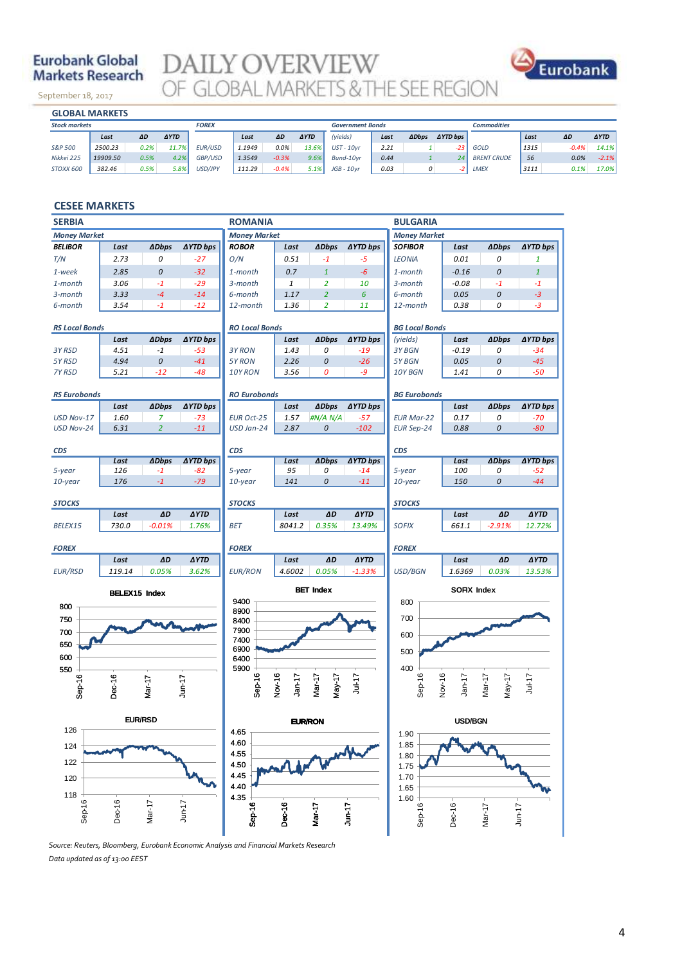## **Eurobank Global Markets Research**

Eurobank OF GLOBAL MARKETS & THE SEE REGION

September 18, 2017

| PICIHDEL TO, ZOT/    |                       |      |             |                |        |         |             |                         |      |              |                 |                    |      |         |             |
|----------------------|-----------------------|------|-------------|----------------|--------|---------|-------------|-------------------------|------|--------------|-----------------|--------------------|------|---------|-------------|
|                      | <b>GLOBAL MARKETS</b> |      |             |                |        |         |             |                         |      |              |                 |                    |      |         |             |
| <b>Stock markets</b> |                       |      |             | <b>FOREX</b>   |        |         |             | <b>Government Bonds</b> |      |              |                 | <b>Commodities</b> |      |         |             |
|                      | Last                  | ΔD   | <b>AYTD</b> |                | Last   | AD      | <b>AYTD</b> | (yields)                | Last | <b>ADbps</b> | <b>AYTD bps</b> |                    | Last | ΔD      | <b>AYTD</b> |
| S&P 500              | 2500.23               | 0.2% | 11.7%       | <b>EUR/USD</b> | 1.1949 | 0.0%    | 13.6%       | $UST - 10vr$            | 2.21 |              | $-23$           | GOLD               | 1315 | $-0.4%$ | 14.1%       |
| Nikkei 225           | 19909.50              | 0.5% | 4.2%        | GBP/USD        | 1.3549 | $-0.3%$ | 9.6%        | Bund-10vr               | 0.44 |              | 24              | <b>BRENT CRUDE</b> | 56   | 0.0%    | $-2.1%$     |
| <b>STOXX 600</b>     | 382.46                | 0.5% | 5.8%        | USD/JPY        | 111.29 | $-0.4%$ | 5.1%        | $JGB - 10vr$            | 0.03 | 0            |                 | LMEX               | 3111 | 0.1%    | 17.0%       |
|                      |                       |      |             |                |        |         |             |                         |      |              |                 |                    |      |         |             |

DAILY OVERVIEW

## **CESEE MARKETS**

| <b>SERBIA</b>                | <b>ROMANIA</b> |                |                 |                       |              |                  | <b>BULGARIA</b> |                       |                    |              |                 |  |
|------------------------------|----------------|----------------|-----------------|-----------------------|--------------|------------------|-----------------|-----------------------|--------------------|--------------|-----------------|--|
| <b>Money Market</b>          |                |                |                 | <b>Money Market</b>   |              |                  |                 | <b>Money Market</b>   |                    |              |                 |  |
| <b>BELIBOR</b>               | Last           | <b>ADbps</b>   | ∆YTD bps        | <b>ROBOR</b>          | Last         | <b>ADbps</b>     | ∆YTD bps        | <b>SOFIBOR</b>        | Last               | <b>ADbps</b> | <b>∆YTD bps</b> |  |
| T/N                          | 2.73           | 0              | $-27$           | O/N                   | 0.51         | $-1$             | -5              | <b>LEONIA</b>         | 0.01               | 0            | 1               |  |
| 1-week                       | 2.85           | 0              | $-32$           | 1-month               | 0.7          | $\mathbf{1}$     | $-6$            | 1-month               | $-0.16$            | 0            | $\mathbf{1}$    |  |
| 1-month                      | 3.06           | $-1$           | $-29$           | 3-month               | $\mathbf{1}$ | $\overline{2}$   | 10              | 3-month               | $-0.08$            | $-1$         | $-1$            |  |
| 3-month                      | 3.33           | $-4$           | $-14$           | 6-month               | 1.17         | $\overline{2}$   | 6               | 6-month               | 0.05               | $\it{O}$     | $-3$            |  |
| 6-month                      | 3.54           | $-1$           | $-12$           | 12-month              | 1.36         | $\overline{a}$   | 11              | 12-month              | 0.38               | 0            | $-3$            |  |
| <b>RS Local Bonds</b>        |                |                |                 | <b>RO Local Bonds</b> |              |                  |                 | <b>BG Local Bonds</b> |                    |              |                 |  |
|                              | Last           | <b>ADbps</b>   | ∆YTD bps        |                       | Last         | <b>ADbps</b>     | ∆YTD bps        | (yields)              | Last               | <b>ADbps</b> | <b>AYTD bps</b> |  |
| 3Y RSD                       | 4.51           | $^{\rm -1}$    | $-53$           | 3Y RON                | 1.43         | 0                | $-19$           | 3Y BGN                | $-0.19$            | 0            | $-34$           |  |
| 5Y RSD                       | 4.94           | 0              | $-41$           | 5Y RON                | 2.26         | 0                | $-26$           | 5Y BGN                | 0.05               | 0            | $-45$           |  |
| 7Y RSD                       | 5.21           | $-12$          | $-48$           | 10Y RON               | 3.56         | 0                | -9              | 10Y BGN               | 1.41               | 0            | $-50$           |  |
| <b>RS Eurobonds</b>          |                |                |                 | <b>RO Eurobonds</b>   |              |                  |                 | <b>BG Eurobonds</b>   |                    |              |                 |  |
|                              | Last           | <b>ADbps</b>   | ∆YTD bps        |                       | Last         | <b>ADbps</b>     | ∆YTD bps        |                       | Last               | <b>ADbps</b> | <b>∆YTD bps</b> |  |
| USD Nov-17                   | 1.60           | 7              | $-73$           | <b>EUR Oct-25</b>     | 1.57         | #N/A N/A         | $-57$           | <b>EUR Mar-22</b>     | 0.17               | 0            | $-70$           |  |
| <b>USD Nov-24</b>            | 6.31           | $\overline{2}$ | $-11$           | USD Jan-24            | 2.87         | 0                | $-102$          | <b>EUR Sep-24</b>     | 0.88               | 0            | $-80$           |  |
|                              |                |                |                 |                       |              |                  |                 |                       |                    |              |                 |  |
| <b>CDS</b>                   |                |                |                 | <b>CDS</b>            |              |                  |                 | CDS                   |                    |              |                 |  |
|                              | Last           | <b>ADbps</b>   | <b>AYTD bps</b> |                       | Last         | <b>ADbps</b>     | <b>AYTD bps</b> |                       | Last               | <b>ADbps</b> | <b>AYTD bps</b> |  |
| 5-year                       | 126            | $-1$           | $-82$           | 5-year                | 95           | 0                | $-14$           | 5-year                | 100                | 0            | $-52$           |  |
| 10-year                      | 176            | $-1$           | $-79$           | 10-year               | 141          | 0                | $-11$           | 10-year               | 150                | 0            | $-44$           |  |
| <b>STOCKS</b>                |                |                |                 | <b>STOCKS</b>         |              |                  |                 | <b>STOCKS</b>         |                    |              |                 |  |
|                              | Last           | AD             | <b>AYTD</b>     |                       | Last         | ΔD               | <b>AYTD</b>     |                       | Last               | ΔD           | <b>AYTD</b>     |  |
| BELEX15                      | 730.0          | $-0.01%$       | 1.76%           | <b>BET</b>            | 8041.2       | 0.35%            | 13.49%          | <b>SOFIX</b>          | 661.1              | $-2.91%$     | 12.72%          |  |
| <b>FOREX</b>                 |                |                |                 | <b>FOREX</b>          |              |                  |                 | <b>FOREX</b>          |                    |              |                 |  |
|                              | Last           | ΔD             | <b>AYTD</b>     |                       | Last         | ΔD               | <b>AYTD</b>     |                       | Last               | ΔD           | <b>AYTD</b>     |  |
| <b>EUR/RSD</b>               | 119.14         | 0.05%          | 3.62%           | <b>EUR/RON</b>        | 4.6002       | 0.05%            | $-1.33%$        | USD/BGN               | 1.6369             | 0.03%        | 13.53%          |  |
|                              | BELEX15 Index  |                |                 |                       |              | <b>BET Index</b> |                 |                       | <b>SOFIX Index</b> |              |                 |  |
| 800                          |                |                |                 | 9400                  |              |                  |                 | 800                   |                    |              |                 |  |
| 750                          |                |                |                 | 8900<br>8400          |              |                  |                 | 700                   |                    |              |                 |  |
| 700                          |                |                |                 | 7900                  |              |                  |                 | 600                   |                    |              |                 |  |
| 650                          |                |                |                 | 7400                  |              |                  |                 |                       |                    |              |                 |  |
| 600                          |                |                |                 | 6900<br>6400          |              |                  |                 | 500                   |                    |              |                 |  |
| 550                          |                |                |                 | 5900                  |              |                  |                 | 400                   |                    |              |                 |  |
|                              |                |                |                 |                       | $Jan-17$     | Mar-17           | Jul-17          | $Sep-16$              | $Jan-17$           | Mar-17       | $Jul-17$        |  |
| $Sep-16$                     | Dec-16         | Mar-17         | $J$ un-17       | $Sep-16$              | Nov-16       | May-17           |                 | Nov-16                |                    | $May-17$     |                 |  |
|                              |                |                |                 |                       |              |                  |                 |                       |                    |              |                 |  |
| <b>EUR/RSD</b><br>126 $\tau$ |                |                |                 | <b>EUR/RON</b>        |              |                  |                 |                       | <b>USD/BGN</b>     |              |                 |  |
| 124                          |                |                |                 | 4.65<br>4.60          |              |                  |                 | 1.90<br>1.85          |                    |              |                 |  |
|                              |                |                |                 | 4.55                  |              |                  |                 | 1.80                  |                    |              |                 |  |
| 122                          |                |                |                 | 4.50                  |              |                  |                 | 1.75                  |                    |              |                 |  |
| 120                          |                |                |                 | 4.45                  |              |                  |                 | 1.70                  |                    |              |                 |  |
| 118                          |                |                |                 | 4.40                  |              |                  |                 | 1.65                  |                    |              |                 |  |
|                              |                |                |                 | 4.35                  |              |                  |                 | 1.60                  |                    |              |                 |  |
| $Sep-16$                     | Dec-16         | $Mar-17$       | $J$ un-17       | $Sep-16$              | Dec-16       | Mar-17           | $Jun-17$        | $Sep-16$              | Dec-16             | Mar-17       | $J$ un-17       |  |
|                              |                |                |                 |                       |              |                  |                 |                       |                    |              |                 |  |

*Source: Reuters, Bloomberg, Eurobank Economic Analysis and Financial Markets Research Data updated as of 13:00 EEST*